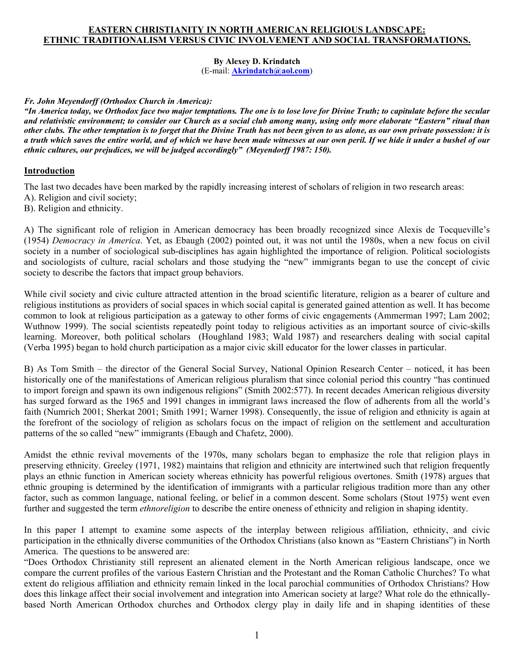### **EASTERN CHRISTIANITY IN NORTH AMERICAN RELIGIOUS LANDSCAPE: ETHNIC TRADITIONALISM VERSUS CIVIC INVOLVEMENT AND SOCIAL TRANSFORMATIONS.**

**By Alexey D. Krindatch**  (E-mail: **[Akrindatch@aol.com](mailto:Akrindatch@aol.com)**)

#### *Fr. John Meyendorff (Orthodox Church in America):*

*"In America today, we Orthodox face two major temptations. The one is to lose love for Divine Truth; to capitulate before the secular and relativistic environment; to consider our Church as a social club among many, using only more elaborate "Eastern" ritual than other clubs. The other temptation is to forget that the Divine Truth has not been given to us alone, as our own private possession: it is a truth which saves the entire world, and of which we have been made witnesses at our own peril. If we hide it under a bushel of our ethnic cultures, our prejudices, we will be judged accordingly" (Meyendorff 1987: 150).* 

#### **Introduction**

The last two decades have been marked by the rapidly increasing interest of scholars of religion in two research areas:

- A). Religion and civil society;
- B). Religion and ethnicity.

A) The significant role of religion in American democracy has been broadly recognized since Alexis de Tocqueville's (1954) *Democracy in America*. Yet, as Ebaugh (2002) pointed out, it was not until the 1980s, when a new focus on civil society in a number of sociological sub-disciplines has again highlighted the importance of religion. Political sociologists and sociologists of culture, racial scholars and those studying the "new" immigrants began to use the concept of civic society to describe the factors that impact group behaviors.

While civil society and civic culture attracted attention in the broad scientific literature, religion as a bearer of culture and religious institutions as providers of social spaces in which social capital is generated gained attention as well. It has become common to look at religious participation as a gateway to other forms of civic engagements (Ammerman 1997; Lam 2002; Wuthnow 1999). The social scientists repeatedly point today to religious activities as an important source of civic-skills learning. Moreover, both political scholars (Houghland 1983; Wald 1987) and researchers dealing with social capital (Verba 1995) began to hold church participation as a major civic skill educator for the lower classes in particular.

B) As Tom Smith – the director of the General Social Survey, National Opinion Research Center – noticed, it has been historically one of the manifestations of American religious pluralism that since colonial period this country "has continued to import foreign and spawn its own indigenous religions" (Smith 2002:577). In recent decades American religious diversity has surged forward as the 1965 and 1991 changes in immigrant laws increased the flow of adherents from all the world's faith (Numrich 2001; Sherkat 2001; Smith 1991; Warner 1998). Consequently, the issue of religion and ethnicity is again at the forefront of the sociology of religion as scholars focus on the impact of religion on the settlement and acculturation patterns of the so called "new" immigrants (Ebaugh and Chafetz, 2000).

Amidst the ethnic revival movements of the 1970s, many scholars began to emphasize the role that religion plays in preserving ethnicity. Greeley (1971, 1982) maintains that religion and ethnicity are intertwined such that religion frequently plays an ethnic function in American society whereas ethnicity has powerful religious overtones. Smith (1978) argues that ethnic grouping is determined by the identification of immigrants with a particular religious tradition more than any other factor, such as common language, national feeling, or belief in a common descent. Some scholars (Stout 1975) went even further and suggested the term *ethnoreligion* to describe the entire oneness of ethnicity and religion in shaping identity.

In this paper I attempt to examine some aspects of the interplay between religious affiliation, ethnicity, and civic participation in the ethnically diverse communities of the Orthodox Christians (also known as "Eastern Christians") in North America. The questions to be answered are:

"Does Orthodox Christianity still represent an alienated element in the North American religious landscape, once we compare the current profiles of the various Eastern Christian and the Protestant and the Roman Catholic Churches? To what extent do religious affiliation and ethnicity remain linked in the local parochial communities of Orthodox Christians? How does this linkage affect their social involvement and integration into American society at large? What role do the ethnicallybased North American Orthodox churches and Orthodox clergy play in daily life and in shaping identities of these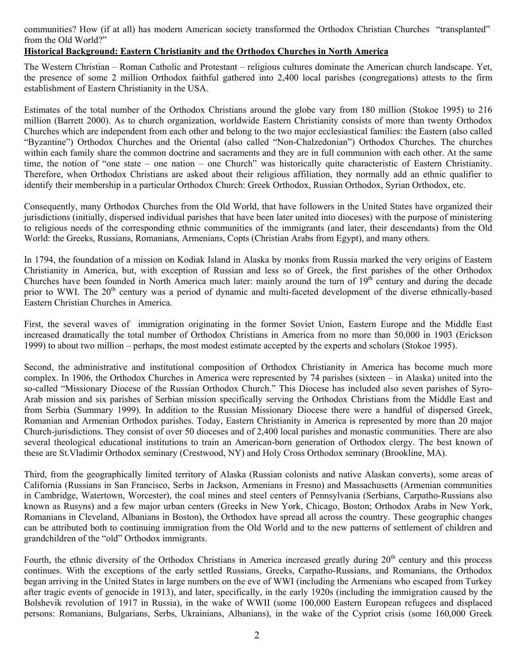communities? How (if at all) has modern American society transformed the Orthodox Christian Churches "transplanted" from the Old World?"

### **Historical Background: Eastern Christianity and the Orthodox Churches in North America**

The Western Christian – Roman Catholic and Protestant – religious cultures dominate the American church landscape. Yet, the presence of some 2 million Orthodox faithful gathered into 2,400 local parishes (congregations) attests to the firm establishment of Eastern Christianity in the USA.

Estimates of the total number of the Orthodox Christians around the globe vary from 180 million (Stokoe 1995) to 216 million (Barrett 2000). As to church organization, worldwide Eastern Christianity consists of more than twenty Orthodox Churches which are independent from each other and belong to the two major ecclesiastical families: the Eastern (also called "Byzantine") Orthodox Churches and the Oriental (also called "Non-Chalzedonian") Orthodox Churches. The churches within each family share the common doctrine and sacraments and they are in full communion with each other. At the same time, the notion of "one state – one nation – one Church" was historically quite characteristic of Eastern Christianity. Therefore, when Orthodox Christians are asked about their religious affiliation, they normally add an ethnic qualifier to identify their membership in a particular Orthodox Church: Greek Orthodox, Russian Orthodox, Syrian Orthodox, etc.

Consequently, many Orthodox Churches from the Old World, that have followers in the United States have organized their jurisdictions (initially, dispersed individual parishes that have been later united into dioceses) with the purpose of ministering to religious needs of the corresponding ethnic communities of the immigrants (and later, their descendants) from the Old World: the Greeks, Russians, Romanians, Armenians, Copts (Christian Arabs from Egypt), and many others.

In 1794, the foundation of a mission on Kodiak Island in Alaska by monks from Russia marked the very origins of Eastern Christianity in America, but, with exception of Russian and less so of Greek, the first parishes of the other Orthodox Churches have been founded in North America much later: mainly around the turn of  $19<sup>th</sup>$  century and during the decade prior to WWI. The 20<sup>th</sup> century was a period of dynamic and multi-faceted development of the diverse ethnically-based Eastern Christian Churches in America.

First, the several waves of immigration originating in the former Soviet Union, Eastern Europe and the Middle East increased dramatically the total number of Orthodox Christians in America from no more than 50,000 in 1903 (Erickson 1999) to about two million – perhaps, the most modest estimate accepted by the experts and scholars (Stokoe 1995).

Second, the administrative and institutional composition of Orthodox Christianity in America has become much more complex. In 1906, the Orthodox Churches in America were represented by 74 parishes (sixteen – in Alaska) united into the so-called "Missionary Diocese of the Russian Orthodox Church." This Diocese has included also seven parishes of Syro-Arab mission and six parishes of Serbian mission specifically serving the Orthodox Christians from the Middle East and from Serbia (Summary 1999). In addition to the Russian Missionary Diocese there were a handful of dispersed Greek, Romanian and Armenian Orthodox parishes. Today, Eastern Christianity in America is represented by more than 20 major Church-jurisdictions. They consist of over 50 dioceses and of 2,400 local parishes and monastic communities. There are also several theological educational institutions to train an American-born generation of Orthodox clergy. The best known of these are St.Vladimir Orthodox seminary (Crestwood, NY) and Holy Cross Orthodox seminary (Brookline, MA).

Third, from the geographically limited territory of Alaska (Russian colonists and native Alaskan converts), some areas of California (Russians in San Francisco, Serbs in Jackson, Armenians in Fresno) and Massachusetts (Armenian communities in Cambridge, Watertown, Worcester), the coal mines and steel centers of Pennsylvania (Serbians, Carpatho-Russians also known as Rusyns) and a few major urban centers (Greeks in New York, Chicago, Boston; Orthodox Arabs in New York, Romanians in Cleveland, Albanians in Boston), the Orthodox have spread all across the country. These geographic changes can be attributed both to continuing immigration from the Old World and to the new patterns of settlement of children and grandchildren of the "old" Orthodox immigrants.

Fourth, the ethnic diversity of the Orthodox Christians in America increased greatly during 20<sup>th</sup> century and this process continues. With the exceptions of the early settled Russians, Greeks, Carpatho-Russians, and Romanians, the Orthodox began arriving in the United States in large numbers on the eve of WWI (including the Armenians who escaped from Turkey after tragic events of genocide in 1913), and later, specifically, in the early 1920s (including the immigration caused by the Bolshevik revolution of 1917 in Russia), in the wake of WWII (some 100,000 Eastern European refugees and displaced persons: Romanians, Bulgarians, Serbs, Ukrainians, Albanians), in the wake of the Cypriot crisis (some 160,000 Greek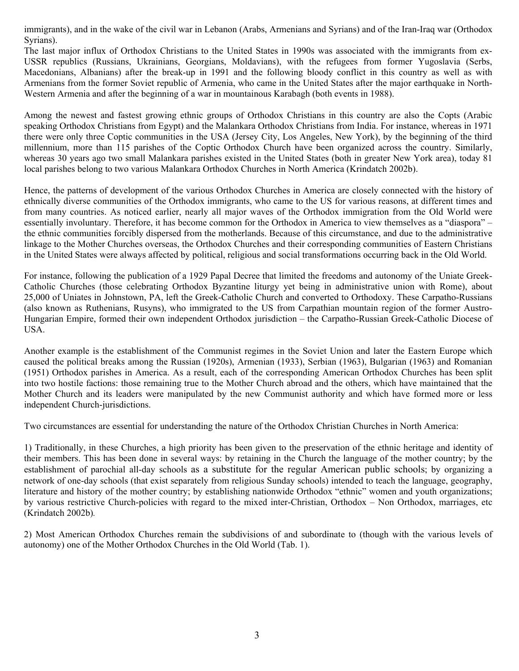immigrants), and in the wake of the civil war in Lebanon (Arabs, Armenians and Syrians) and of the Iran-Iraq war (Orthodox Syrians).

The last major influx of Orthodox Christians to the United States in 1990s was associated with the immigrants from ex-USSR republics (Russians, Ukrainians, Georgians, Moldavians), with the refugees from former Yugoslavia (Serbs, Macedonians, Albanians) after the break-up in 1991 and the following bloody conflict in this country as well as with Armenians from the former Soviet republic of Armenia, who came in the United States after the major earthquake in North-Western Armenia and after the beginning of a war in mountainous Karabagh (both events in 1988).

Among the newest and fastest growing ethnic groups of Orthodox Christians in this country are also the Copts (Arabic speaking Orthodox Christians from Egypt) and the Malankara Orthodox Christians from India. For instance, whereas in 1971 there were only three Coptic communities in the USA (Jersey City, Los Angeles, New York), by the beginning of the third millennium, more than 115 parishes of the Coptic Orthodox Church have been organized across the country. Similarly, whereas 30 years ago two small Malankara parishes existed in the United States (both in greater New York area), today 81 local parishes belong to two various Malankara Orthodox Churches in North America (Krindatch 2002b).

Hence, the patterns of development of the various Orthodox Churches in America are closely connected with the history of ethnically diverse communities of the Orthodox immigrants, who came to the US for various reasons, at different times and from many countries. As noticed earlier, nearly all major waves of the Orthodox immigration from the Old World were essentially involuntary. Therefore, it has become common for the Orthodox in America to view themselves as a "diaspora" – the ethnic communities forcibly dispersed from the motherlands. Because of this circumstance, and due to the administrative linkage to the Mother Churches overseas, the Orthodox Churches and their corresponding communities of Eastern Christians in the United States were always affected by political, religious and social transformations occurring back in the Old World.

For instance, following the publication of a 1929 Papal Decree that limited the freedoms and autonomy of the Uniate Greek-Catholic Churches (those celebrating Orthodox Byzantine liturgy yet being in administrative union with Rome), about 25,000 of Uniates in Johnstown, PA, left the Greek-Catholic Church and converted to Orthodoxy. These Carpatho-Russians (also known as Ruthenians, Rusyns), who immigrated to the US from Carpathian mountain region of the former Austro-Hungarian Empire, formed their own independent Orthodox jurisdiction – the Carpatho-Russian Greek-Catholic Diocese of USA.

Another example is the establishment of the Communist regimes in the Soviet Union and later the Eastern Europe which caused the political breaks among the Russian (1920s), Armenian (1933), Serbian (1963), Bulgarian (1963) and Romanian (1951) Orthodox parishes in America. As a result, each of the corresponding American Orthodox Churches has been split into two hostile factions: those remaining true to the Mother Church abroad and the others, which have maintained that the Mother Church and its leaders were manipulated by the new Communist authority and which have formed more or less independent Church-jurisdictions.

Two circumstances are essential for understanding the nature of the Orthodox Christian Churches in North America:

1) Traditionally, in these Churches, a high priority has been given to the preservation of the ethnic heritage and identity of their members. This has been done in several ways: by retaining in the Church the language of the mother country; by the establishment of parochial all-day schools as a substitute for the regular American public schools; by organizing a network of one-day schools (that exist separately from religious Sunday schools) intended to teach the language, geography, literature and history of the mother country; by establishing nationwide Orthodox "ethnic" women and youth organizations; by various restrictive Church-policies with regard to the mixed inter-Christian, Orthodox – Non Orthodox, marriages, etc (Krindatch 2002b)*.*

2) Most American Orthodox Churches remain the subdivisions of and subordinate to (though with the various levels of autonomy) one of the Mother Orthodox Churches in the Old World (Tab. 1).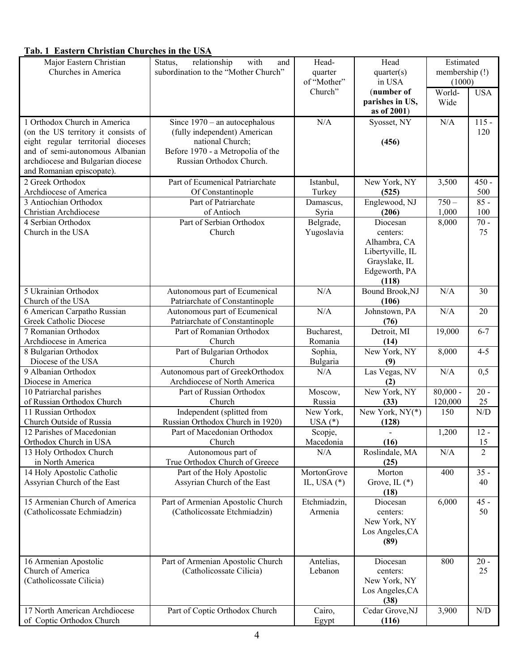# **Tab. 1 Eastern Christian Churches in the USA**

| Major Eastern Christian                                   | relationship<br>Status,<br>with<br>and                           | Head-                        | Head                              | Estimated      |                         |
|-----------------------------------------------------------|------------------------------------------------------------------|------------------------------|-----------------------------------|----------------|-------------------------|
| Churches in America                                       | subordination to the "Mother Church"                             | quarter                      | quarter(s)                        | membership (!) |                         |
|                                                           |                                                                  | of "Mother"<br>Church"       | in USA                            | (1000)         |                         |
|                                                           |                                                                  |                              | (number of<br>parishes in US,     | World-<br>Wide | <b>USA</b>              |
|                                                           |                                                                  |                              | as of 2001)                       |                |                         |
| 1 Orthodox Church in America                              | Since $1970 -$ an autocephalous                                  | N/A                          | Syosset, NY                       | N/A            | $115 -$                 |
| (on the US territory it consists of                       | (fully independent) American                                     |                              |                                   |                | 120                     |
| eight regular territorial dioceses                        | national Church;                                                 |                              | (456)                             |                |                         |
| and of semi-autonomous Albanian                           | Before 1970 - a Metropolia of the                                |                              |                                   |                |                         |
| archdiocese and Bulgarian diocese                         | Russian Orthodox Church.                                         |                              |                                   |                |                         |
| and Romanian episcopate).                                 |                                                                  |                              |                                   |                |                         |
| 2 Greek Orthodox                                          | Part of Ecumenical Patriarchate                                  | Istanbul,                    | New York, NY                      | 3,500          | $450 -$                 |
| Archdiocese of America                                    | Of Constantinople                                                | Turkey                       | (525)                             |                | 500                     |
| 3 Antiochian Orthodox                                     | Part of Patriarchate                                             | Damascus,                    | Englewood, NJ                     | $750 -$        | $85 -$                  |
| Christian Archdiocese                                     | of Antioch                                                       | Syria                        | (206)                             | 1,000          | 100                     |
| 4 Serbian Orthodox                                        | Part of Serbian Orthodox                                         | Belgrade,                    | Diocesan                          | 8,000          | $70 -$                  |
| Church in the USA                                         | Church                                                           | Yugoslavia                   | centers:                          |                | 75                      |
|                                                           |                                                                  |                              | Alhambra, CA                      |                |                         |
|                                                           |                                                                  |                              | Libertyville, IL<br>Grayslake, IL |                |                         |
|                                                           |                                                                  |                              | Edgeworth, PA                     |                |                         |
|                                                           |                                                                  |                              | (118)                             |                |                         |
| 5 Ukrainian Orthodox                                      | Autonomous part of Ecumenical                                    | N/A                          | <b>Bound Brook, NJ</b>            | N/A            | 30                      |
| Church of the USA                                         | Patriarchate of Constantinople                                   |                              | (106)                             |                |                         |
| 6 American Carpatho Russian                               | Autonomous part of Ecumenical                                    | N/A                          | Johnstown, PA                     | N/A            | 20                      |
| <b>Greek Catholic Diocese</b>                             | Patriarchate of Constantinople                                   |                              | (76)                              |                |                         |
| 7 Romanian Orthodox                                       | Part of Romanian Orthodox                                        | Bucharest,                   | Detroit, MI                       | 19,000         | $6 - 7$                 |
| Archdiocese in America                                    | Church                                                           | Romania                      | (14)                              |                |                         |
| 8 Bulgarian Orthodox                                      | Part of Bulgarian Orthodox                                       | Sophia,                      | New York, NY                      | 8,000          | $4 - 5$                 |
| Diocese of the USA<br>9 Albanian Orthodox                 | Church                                                           | Bulgaria                     | (9)                               |                |                         |
| Diocese in America                                        | Autonomous part of GreekOrthodox<br>Archdiocese of North America | N/A                          | Las Vegas, NV<br>(2)              | N/A            | 0,5                     |
| 10 Patriarchal parishes                                   | Part of Russian Orthodox                                         | Moscow,                      | New York, NY                      | $80,000 -$     | $20 -$                  |
| of Russian Orthodox Church                                | Church                                                           | Russia                       | (33)                              | 120,000        | 25                      |
| 11 Russian Orthodox                                       | Independent (splitted from                                       | New York,                    | New York, $NY(*)$                 | 150            | N/D                     |
| Church Outside of Russia                                  | Russian Orthodox Church in 1920)                                 | $USA (*)$                    | (128)                             |                |                         |
| 12 Parishes of Macedonian                                 | Part of Macedonian Orthodox                                      | Scopje,                      |                                   | 1,200          | $12 -$                  |
| Orthodox Church in USA                                    | Church                                                           | Macedonia                    | (16)                              |                | 15                      |
| 13 Holy Orthodox Church                                   | Autonomous part of                                               | N/A                          | Roslindale, MA                    | N/A            | $\overline{2}$          |
| in North America                                          | True Orthodox Church of Greece                                   |                              | (25)                              |                |                         |
| 14 Holy Apostolic Catholic<br>Assyrian Church of the East | Part of the Holy Apostolic<br>Assyrian Church of the East        | MortonGrove<br>IL, USA $(*)$ | Morton<br>Grove, IL $(*)$         | 400            | $35 -$<br>40            |
|                                                           |                                                                  |                              | (18)                              |                |                         |
| 15 Armenian Church of America                             | Part of Armenian Apostolic Church                                | Etchmiadzin,                 | Diocesan                          | 6,000          | $45 -$                  |
| (Catholicossate Echmiadzin)                               | (Catholicossate Etchmiadzin)                                     | Armenia                      | centers:                          |                | 50                      |
|                                                           |                                                                  |                              | New York, NY                      |                |                         |
|                                                           |                                                                  |                              | Los Angeles, CA                   |                |                         |
|                                                           |                                                                  |                              | (89)                              |                |                         |
|                                                           |                                                                  |                              |                                   |                |                         |
| 16 Armenian Apostolic                                     | Part of Armenian Apostolic Church                                | Antelias,                    | Diocesan                          | 800            | $20 -$                  |
| Church of America                                         | (Catholicossate Cilicia)                                         | Lebanon                      | centers:                          |                | 25                      |
| (Catholicossate Cilicia)                                  |                                                                  |                              | New York, NY                      |                |                         |
|                                                           |                                                                  |                              | Los Angeles, CA<br>(38)           |                |                         |
| 17 North American Archdiocese                             | Part of Coptic Orthodox Church                                   | Cairo,                       | Cedar Grove, NJ                   | 3,900          | $\mathrm{N}/\mathrm{D}$ |
| of Coptic Orthodox Church                                 |                                                                  | Egypt                        | (116)                             |                |                         |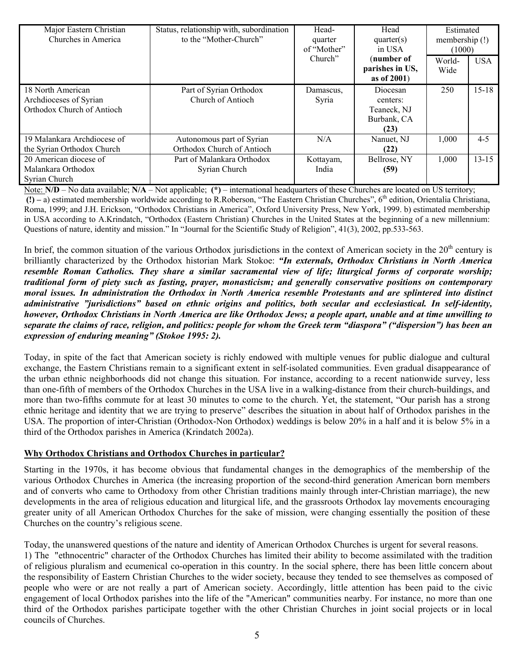| Major Eastern Christian     | Status, relationship with, subordination | Head-       | Head            | Estimated      |            |
|-----------------------------|------------------------------------------|-------------|-----------------|----------------|------------|
| Churches in America         | to the "Mother-Church"                   | quarter     | quarter(s)      | membership (!) |            |
|                             |                                          | of "Mother" | in USA          | (1000)         |            |
|                             |                                          | Church"     | (number of      | World-         | <b>USA</b> |
|                             |                                          |             | parishes in US, | Wide           |            |
|                             |                                          |             | as of 2001)     |                |            |
| 18 North American           | Part of Syrian Orthodox                  | Damascus,   | Diocesan        | 250            | $15 - 18$  |
| Archdioceses of Syrian      | Church of Antioch                        | Syria       | centers:        |                |            |
| Orthodox Church of Antioch  |                                          |             | Teaneck, NJ     |                |            |
|                             |                                          |             | Burbank, CA     |                |            |
|                             |                                          |             | (23)            |                |            |
| 19 Malankara Archdiocese of | Autonomous part of Syrian                | N/A         | Nanuet, NJ      | 1,000          | $4 - 5$    |
| the Syrian Orthodox Church  | Orthodox Church of Antioch               |             | (22)            |                |            |
| 20 American diocese of      | Part of Malankara Orthodox               | Kottayam,   | Bellrose, NY    | 1,000          | $13 - 15$  |
| Malankara Orthodox          | Syrian Church                            | India       | (59)            |                |            |
| Syrian Church               |                                          |             |                 |                |            |

Note: **N/D** – No data available; **N/A** – Not applicable; **(\*)** – international headquarters of these Churches are located on US territory; **(!) –** a) estimated membership worldwide according to R.Roberson, "The Eastern Christian Churches", 6th edition, Orientalia Christiana, Roma, 1999; and J.H. Erickson, "Orthodox Christians in America", Oxford University Press, New York, 1999. b) estimated membership in USA according to A.Krindatch, "Orthodox (Eastern Christian) Churches in the United States at the beginning of a new millennium: Questions of nature, identity and mission." In "Journal for the Scientific Study of Religion", 41(3), 2002, pp.533-563.

In brief, the common situation of the various Orthodox jurisdictions in the context of American society in the  $20<sup>th</sup>$  century is brilliantly characterized by the Orthodox historian Mark Stokoe: *"In externals, Orthodox Christians in North America resemble Roman Catholics. They share a similar sacramental view of life; liturgical forms of corporate worship; traditional form of piety such as fasting, prayer, monasticism; and generally conservative positions on contemporary moral issues. In administration the Orthodox in North America resemble Protestants and are splintered into distinct administrative "jurisdictions" based on ethnic origins and politics, both secular and ecclesiastical. In self-identity, however, Orthodox Christians in North America are like Orthodox Jews; a people apart, unable and at time unwilling to separate the claims of race, religion, and politics: people for whom the Greek term "diaspora" ("dispersion") has been an expression of enduring meaning" (Stokoe 1995: 2).* 

Today, in spite of the fact that American society is richly endowed with multiple venues for public dialogue and cultural exchange, the Eastern Christians remain to a significant extent in self-isolated communities. Even gradual disappearance of the urban ethnic neighborhoods did not change this situation. For instance, according to a recent nationwide survey, less than one-fifth of members of the Orthodox Churches in the USA live in a walking-distance from their church-buildings, and more than two-fifths commute for at least 30 minutes to come to the church. Yet, the statement, "Our parish has a strong ethnic heritage and identity that we are trying to preserve" describes the situation in about half of Orthodox parishes in the USA. The proportion of inter-Christian (Orthodox-Non Orthodox) weddings is below 20% in a half and it is below 5% in a third of the Orthodox parishes in America (Krindatch 2002a).

## **Why Orthodox Christians and Orthodox Churches in particular?**

Starting in the 1970s, it has become obvious that fundamental changes in the demographics of the membership of the various Orthodox Churches in America (the increasing proportion of the second-third generation American born members and of converts who came to Orthodoxy from other Christian traditions mainly through inter-Christian marriage), the new developments in the area of religious education and liturgical life, and the grassroots Orthodox lay movements encouraging greater unity of all American Orthodox Churches for the sake of mission, were changing essentially the position of these Churches on the country's religious scene.

Today, the unanswered questions of the nature and identity of American Orthodox Churches is urgent for several reasons. 1) The "ethnocentric" character of the Orthodox Churches has limited their ability to become assimilated with the tradition of religious pluralism and ecumenical co-operation in this country. In the social sphere, there has been little concern about the responsibility of Eastern Christian Churches to the wider society, because they tended to see themselves as composed of people who were or are not really a part of American society. Accordingly, little attention has been paid to the civic engagement of local Orthodox parishes into the life of the "American" communities nearby. For instance, no more than one third of the Orthodox parishes participate together with the other Christian Churches in joint social projects or in local councils of Churches.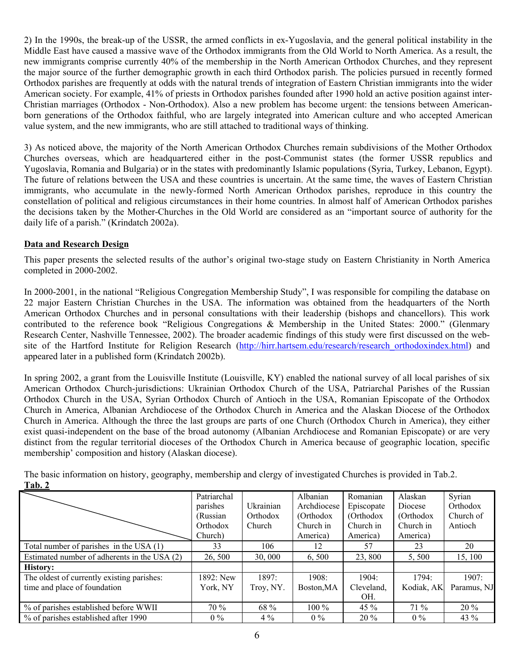2) In the 1990s, the break-up of the USSR, the armed conflicts in ex-Yugoslavia, and the general political instability in the Middle East have caused a massive wave of the Orthodox immigrants from the Old World to North America. As a result, the new immigrants comprise currently 40% of the membership in the North American Orthodox Churches, and they represent the major source of the further demographic growth in each third Orthodox parish. The policies pursued in recently formed Orthodox parishes are frequently at odds with the natural trends of integration of Eastern Christian immigrants into the wider American society. For example, 41% of priests in Orthodox parishes founded after 1990 hold an active position against inter-Christian marriages (Orthodox - Non-Orthodox). Also a new problem has become urgent: the tensions between Americanborn generations of the Orthodox faithful, who are largely integrated into American culture and who accepted American value system, and the new immigrants, who are still attached to traditional ways of thinking.

3) As noticed above, the majority of the North American Orthodox Churches remain subdivisions of the Mother Orthodox Churches overseas, which are headquartered either in the post-Communist states (the former USSR republics and Yugoslavia, Romania and Bulgaria) or in the states with predominantly Islamic populations (Syria, Turkey, Lebanon, Egypt). The future of relations between the USA and these countries is uncertain. At the same time, the waves of Eastern Christian immigrants, who accumulate in the newly-formed North American Orthodox parishes, reproduce in this country the constellation of political and religious circumstances in their home countries. In almost half of American Orthodox parishes the decisions taken by the Mother-Churches in the Old World are considered as an "important source of authority for the daily life of a parish." (Krindatch 2002a).

## **Data and Research Design**

This paper presents the selected results of the author's original two-stage study on Eastern Christianity in North America completed in 2000-2002.

In 2000-2001, in the national "Religious Congregation Membership Study", I was responsible for compiling the database on 22 major Eastern Christian Churches in the USA. The information was obtained from the headquarters of the North American Orthodox Churches and in personal consultations with their leadership (bishops and chancellors). This work contributed to the reference book "Religious Congregations & Membership in the United States: 2000." (Glenmary Research Center, Nashville Tennessee, 2002). The broader academic findings of this study were first discussed on the website of the Hartford Institute for Religion Research (http://hirr.hartsem.edu/research/research orthodoxindex.html) and appeared later in a published form (Krindatch 2002b).

In spring 2002, a grant from the Louisville Institute (Louisville, KY) enabled the national survey of all local parishes of six American Orthodox Church-jurisdictions: Ukrainian Orthodox Church of the USA, Patriarchal Parishes of the Russian Orthodox Church in the USA, Syrian Orthodox Church of Antioch in the USA, Romanian Episcopate of the Orthodox Church in America, Albanian Archdiocese of the Orthodox Church in America and the Alaskan Diocese of the Orthodox Church in America. Although the three the last groups are parts of one Church (Orthodox Church in America), they either exist quasi-independent on the base of the broad autonomy (Albanian Archdiocese and Romanian Episcopate) or are very distinct from the regular territorial dioceses of the Orthodox Church in America because of geographic location, specific membership' composition and history (Alaskan diocese).

|                                              | Patriarchal |           | Albanian    | Romanian   | Alaskan    | Syrian      |
|----------------------------------------------|-------------|-----------|-------------|------------|------------|-------------|
|                                              | parishes    | Ukrainian | Archdiocese | Episcopate | Diocese    | Orthodox    |
|                                              | (Russian    | Orthodox  | (Orthodox)  | (Orthodox  | (Orthodox  | Church of   |
|                                              | Orthodox    | Church    | Church in   | Church in  | Church in  | Antioch     |
|                                              | Church)     |           | America)    | America)   | America)   |             |
| Total number of parishes in the USA $(1)$    | 33          | 106       | 12          | 57         | 23         | 20          |
| Estimated number of adherents in the USA (2) | 26, 500     | 30,000    | 6,500       | 23,800     | 5,500      | 15, 100     |
| <b>History:</b>                              |             |           |             |            |            |             |
| The oldest of currently existing parishes:   | 1892: New   | 1897:     | 1908:       | 1904:      | 1794:      | 1907:       |
| time and place of foundation                 | York, NY    | Troy, NY. | Boston, MA  | Cleveland, | Kodiak, AK | Paramus, NJ |
|                                              |             |           |             | OH.        |            |             |
| % of parishes established before WWII        | 70 %        | 68 %      | $100\%$     | 45 $%$     | $71\%$     | $20\%$      |
| % of parishes established after 1990         | $0\%$       | $4\%$     | $0\%$       | $20\%$     | $0\%$      | 43 $\%$     |

The basic information on history, geography, membership and clergy of investigated Churches is provided in Tab.2. **Tab. 2**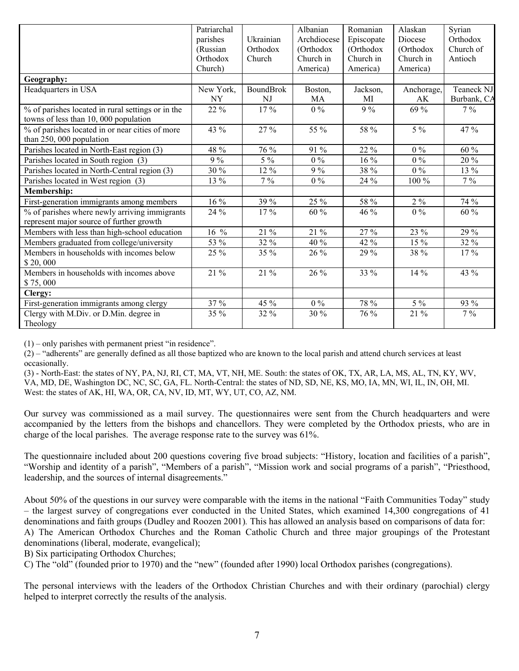|                                                                                           | Patriarchal<br>parishes<br>(Russian | Ukrainian<br>Orthodox | Albanian<br>Archdiocese<br>(Orthodox | Romanian<br>Episcopate<br>(Orthodox | Alaskan<br>Diocese<br>(Orthodox | Syrian<br>Orthodox<br>Church of |
|-------------------------------------------------------------------------------------------|-------------------------------------|-----------------------|--------------------------------------|-------------------------------------|---------------------------------|---------------------------------|
|                                                                                           | Orthodox<br>Church)                 | Church                | Church in<br>America)                | Church in<br>America)               | Church in<br>America)           | Antioch                         |
| Geography:                                                                                |                                     |                       |                                      |                                     |                                 |                                 |
| Headquarters in USA                                                                       | New York,                           | <b>BoundBrok</b>      | Boston,                              | Jackson,                            | Anchorage,                      | Teaneck NJ                      |
|                                                                                           | NY                                  | NJ                    | МA                                   | MI                                  | AK                              | Burbank, CA                     |
| % of parishes located in rural settings or in the                                         | 22 %                                | 17 %                  | $0\,\sqrt{2}$                        | $9\sqrt{0}$                         | 69 %                            | $7\%$                           |
| towns of less than 10, 000 population                                                     |                                     |                       |                                      |                                     |                                 |                                 |
| % of parishes located in or near cities of more                                           | 43 %                                | 27 %                  | 55 %                                 | 58 %                                | $5\%$                           | 47 %                            |
| than 250, 000 population                                                                  |                                     |                       |                                      |                                     |                                 |                                 |
| Parishes located in North-East region (3)                                                 | 48 %                                | 76 %                  | 91 %                                 | 22 %                                | $0\%$                           | 60 %                            |
| Parishes located in South region (3)                                                      | $9\%$                               | $5\%$                 | $0\%$                                | $16\%$                              | $0\%$                           | 20 %                            |
| Parishes located in North-Central region (3)                                              | 30 %                                | 12 %                  | $9\%$                                | 38 %                                | $0\%$                           | 13 %                            |
| Parishes located in West region (3)                                                       | 13 %                                | $7\%$                 | $0\%$                                | 24 %                                | 100 %                           | $7\%$                           |
| <b>Membership:</b>                                                                        |                                     |                       |                                      |                                     |                                 |                                 |
| First-generation immigrants among members                                                 | 16 %                                | 39 %                  | 25 %                                 | 58 %                                | $2\%$                           | 74 %                            |
| % of parishes where newly arriving immigrants<br>represent major source of further growth | 24 %                                | 17%                   | 60 %                                 | 46 %                                | $0\%$                           | 60 %                            |
| Members with less than high-school education                                              | $16\%$                              | 21 %                  | 21 %                                 | 27 %                                | 23 %                            | 29 %                            |
|                                                                                           |                                     |                       |                                      |                                     |                                 |                                 |
| Members graduated from college/university                                                 | 53 %                                | 32 %                  | 40 %                                 | 42 %                                | 15 %                            | 32 %                            |
| Members in households with incomes below<br>\$20,000                                      | 25 %                                | 35 %                  | 26 %                                 | 29 %                                | 38 %                            | $17\%$                          |
| Members in households with incomes above<br>\$75,000                                      | 21 %                                | 21 %                  | 26 %                                 | 33 %                                | 14 %                            | 43 %                            |
| Clergy:                                                                                   |                                     |                       |                                      |                                     |                                 |                                 |
| First-generation immigrants among clergy                                                  | 37 %                                | 45 %                  | $0\%$                                | 78 %                                | $5\%$                           | 93 %                            |
| Clergy with M.Div. or D.Min. degree in<br>Theology                                        | 35 %                                | 32 %                  | 30 %                                 | 76 %                                | 21 %                            | $7\%$                           |

 $(1)$  – only parishes with permanent priest "in residence".

(2) – "adherents" are generally defined as all those baptized who are known to the local parish and attend church services at least occasionally.

(3) - North-East: the states of NY, PA, NJ, RI, CT, MA, VT, NH, ME. South: the states of OK, TX, AR, LA, MS, AL, TN, KY, WV, VA, MD, DE, Washington DC, NC, SC, GA, FL. North-Central: the states of ND, SD, NE, KS, MO, IA, MN, WI, IL, IN, OH, MI. West: the states of AK, HI, WA, OR, CA, NV, ID, MT, WY, UT, CO, AZ, NM.

Our survey was commissioned as a mail survey. The questionnaires were sent from the Church headquarters and were accompanied by the letters from the bishops and chancellors. They were completed by the Orthodox priests, who are in charge of the local parishes. The average response rate to the survey was 61%.

The questionnaire included about 200 questions covering five broad subjects: "History, location and facilities of a parish", "Worship and identity of a parish", "Members of a parish", "Mission work and social programs of a parish", "Priesthood, leadership, and the sources of internal disagreements."

About 50% of the questions in our survey were comparable with the items in the national "Faith Communities Today" study – the largest survey of congregations ever conducted in the United States, which examined 14,300 congregations of 41 denominations and faith groups (Dudley and Roozen 2001)*.* This has allowed an analysis based on comparisons of data for: A) The American Orthodox Churches and the Roman Catholic Church and three major groupings of the Protestant denominations (liberal, moderate, evangelical);

B) Six participating Orthodox Churches;

C) The "old" (founded prior to 1970) and the "new" (founded after 1990) local Orthodox parishes (congregations).

The personal interviews with the leaders of the Orthodox Christian Churches and with their ordinary (parochial) clergy helped to interpret correctly the results of the analysis.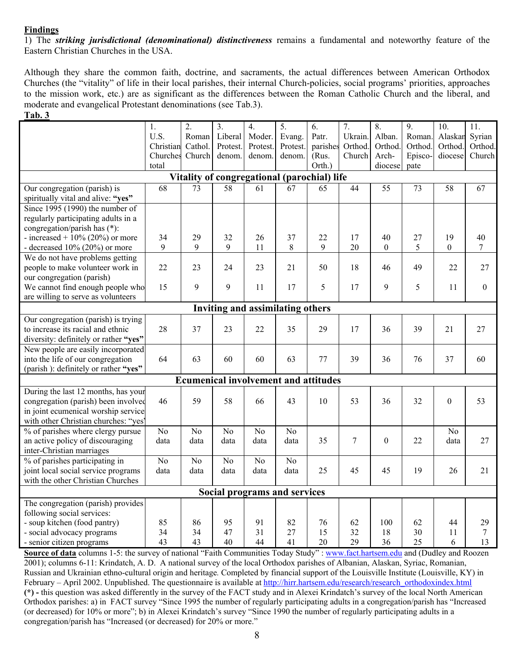### **Findings**

1) The *striking jurisdictional (denominational) distinctiveness* remains a fundamental and noteworthy feature of the Eastern Christian Churches in the USA.

Although they share the common faith, doctrine, and sacraments, the actual differences between American Orthodox Churches (the "vitality" of life in their local parishes, their internal Church-policies, social programs' priorities, approaches to the mission work, etc.) are as significant as the differences between the Roman Catholic Church and the liberal, and moderate and evangelical Protestant denominations (see Tab.3).

#### **Tab. 3**

|                                             | 1.             | $\overline{2}$ . | $\overline{3}$ . | $\overline{4}$ . | 5.                           | 6.                                          | 7.      | $\overline{8}$ . | $\overline{9}$ . | 10.              | 11.      |  |  |
|---------------------------------------------|----------------|------------------|------------------|------------------|------------------------------|---------------------------------------------|---------|------------------|------------------|------------------|----------|--|--|
|                                             | U.S.           | Roman            | Liberal          | Moder.           | Evang.                       | Patr.                                       | Ukrain. | Alban.           | Roman.           | Alaskan          | Syrian   |  |  |
|                                             | Christian      | Cathol.          | Protest.         | Protest.         | Protest.                     | parishes                                    | Orthod. | Orthod.          | Orthod.          | Orthod.          | Orthod.  |  |  |
|                                             | Churches       | Church           | denom.           | denom.           | denom.                       | (Rus.                                       | Church  | Arch-            | Episco-          | diocese          | Church   |  |  |
|                                             | total          |                  |                  |                  |                              | Orth.)                                      |         | diocese          | pate             |                  |          |  |  |
| Vitality of congregational (parochial) life |                |                  |                  |                  |                              |                                             |         |                  |                  |                  |          |  |  |
| Our congregation (parish) is                | 68             | 73               | 58               | 61               | 67                           | 65                                          | 44      | 55               | 73               | 58               | 67       |  |  |
| spiritually vital and alive: "yes"          |                |                  |                  |                  |                              |                                             |         |                  |                  |                  |          |  |  |
| Since $1995$ (1990) the number of           |                |                  |                  |                  |                              |                                             |         |                  |                  |                  |          |  |  |
| regularly participating adults in a         |                |                  |                  |                  |                              |                                             |         |                  |                  |                  |          |  |  |
| congregation/parish has (*):                |                |                  |                  |                  |                              |                                             |         |                  |                  |                  |          |  |  |
| - increased + $10\%$ (20%) or more          | 34             | 29               | 32               | 26               | 37                           | 22                                          | 17      | 40               | 27               | 19               | 40       |  |  |
| - decreased $10\%$ (20%) or more            | 9              | 9                | 9                | 11               | 8                            | 9                                           | 20      | $\theta$         | 5                | $\boldsymbol{0}$ | 7        |  |  |
| We do not have problems getting             |                |                  |                  |                  |                              |                                             |         |                  |                  |                  |          |  |  |
| people to make volunteer work in            | 22             | 23               | 24               | 23               | 21                           | 50                                          | 18      | 46               | 49               | 22               | 27       |  |  |
| our congregation (parish)                   |                |                  |                  |                  |                              |                                             |         |                  |                  |                  |          |  |  |
| We cannot find enough people who            | 15             | 9                | 9                | 11               | 17                           | 5                                           | 17      | 9                | 5                | 11               | $\theta$ |  |  |
| are willing to serve as volunteers          |                |                  |                  |                  |                              |                                             |         |                  |                  |                  |          |  |  |
| <b>Inviting and assimilating others</b>     |                |                  |                  |                  |                              |                                             |         |                  |                  |                  |          |  |  |
| Our congregation (parish) is trying         |                |                  |                  |                  |                              |                                             |         |                  |                  |                  |          |  |  |
| to increase its racial and ethnic           | 28             | 37               | 23               | 22               | 35                           | 29                                          | 17      | 36               | 39               | 21               | 27       |  |  |
| diversity: definitely or rather "yes"       |                |                  |                  |                  |                              |                                             |         |                  |                  |                  |          |  |  |
| New people are easily incorporated          |                |                  |                  |                  |                              |                                             |         |                  |                  |                  |          |  |  |
| into the life of our congregation           | 64             | 63               | 60               | 60               | 63                           | 77                                          | 39      | 36               | 76               | 37               | 60       |  |  |
| (parish): definitely or rather "yes"        |                |                  |                  |                  |                              |                                             |         |                  |                  |                  |          |  |  |
|                                             |                |                  |                  |                  |                              | <b>Ecumenical involvement and attitudes</b> |         |                  |                  |                  |          |  |  |
| During the last 12 months, has your         |                |                  |                  |                  |                              |                                             |         |                  |                  |                  |          |  |  |
| congregation (parish) been involved         | 46             | 59               | 58               | 66               | 43                           | 10                                          | 53      | 36               | 32               | $\mathbf{0}$     | 53       |  |  |
| in joint ecumenical worship service         |                |                  |                  |                  |                              |                                             |         |                  |                  |                  |          |  |  |
| with other Christian churches: "yes'        |                |                  |                  |                  |                              |                                             |         |                  |                  |                  |          |  |  |
| % of parishes where clergy pursue           | N <sub>0</sub> | N <sub>o</sub>   | N <sub>o</sub>   | N <sub>o</sub>   | N <sub>o</sub>               |                                             |         |                  |                  | No               |          |  |  |
| an active policy of discouraging            | data           | data             | data             | data             | data                         | 35                                          | $\tau$  | $\boldsymbol{0}$ | 22               | data             | 27       |  |  |
| inter-Christian marriages                   |                |                  |                  |                  |                              |                                             |         |                  |                  |                  |          |  |  |
| % of parishes participating in              | N <sub>0</sub> | N <sub>o</sub>   | N <sub>o</sub>   | N <sub>o</sub>   | No                           |                                             |         |                  |                  |                  |          |  |  |
| joint local social service programs         | data           | data             | data             | data             | data                         | 25                                          | 45      | 45               | 19               | 26               | 21       |  |  |
| with the other Christian Churches           |                |                  |                  |                  |                              |                                             |         |                  |                  |                  |          |  |  |
|                                             |                |                  |                  |                  | Social programs and services |                                             |         |                  |                  |                  |          |  |  |
| The congregation (parish) provides          |                |                  |                  |                  |                              |                                             |         |                  |                  |                  |          |  |  |
| following social services:                  |                |                  |                  |                  |                              |                                             |         |                  |                  |                  |          |  |  |
| - soup kitchen (food pantry)                | 85             | 86               | 95               | 91               | 82                           | 76                                          | 62      | 100              | 62               | 44               | 29       |  |  |
| - social advocacy programs                  | 34             | 34               | 47               | 31               | 27                           | 15                                          | 32      | 18               | 30               | 11               | $\tau$   |  |  |
| - senior citizen programs                   | 43             | 43               | 40               | 44               | 41                           | 20                                          | 29      | 36               | 25               | 6                | 13       |  |  |

**Source of data** columns 1-5: the survey of national "Faith Communities Today Study" : [www.fact.hartsem.edu](http://www.fact.hartsem.edu/) and (Dudley and Roozen 2001); columns 6-11: Krindatch, A. D. A national survey of the local Orthodox parishes of Albanian, Alaskan, Syriac, Romanian, Russian and Ukrainian ethno-cultural origin and heritage*.* Completed by financial support of the Louisville Institute (Louisville, KY) in February – April 2002. Unpublished. The questionnaire is available at [http://hirr.hartsem.edu/research/research\\_orthodoxindex.html](http://hirr.hartsem.edu/research/research_orthodoxindex.html) **(\*) -** this question was asked differently in the survey of the FACT study and in Alexei Krindatch's survey of the local North American Orthodox parishes: a) in FACT survey "Since 1995 the number of regularly participating adults in a congregation/parish has "Increased (or decreased) for 10% or more"; b) in Alexei Krindatch's survey "Since 1990 the number of regularly participating adults in a congregation/parish has "Increased (or decreased) for 20% or more."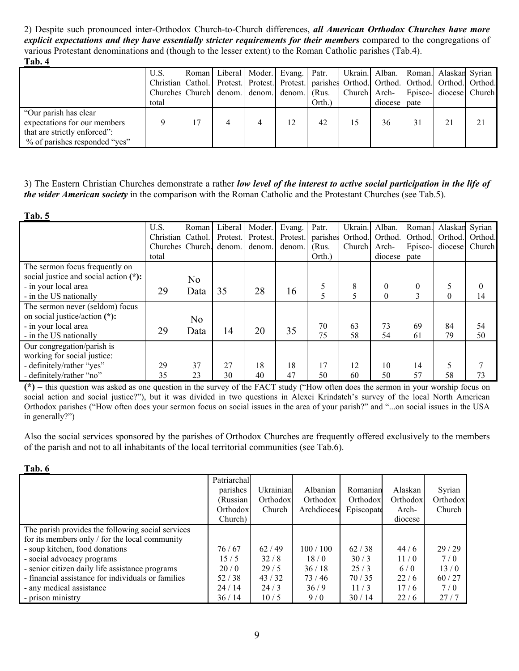2) Despite such pronounced inter-Orthodox Church-to-Church differences, *all American Orthodox Churches have more explicit expectations and they have essentially stricter requirements for their members* compared to the congregations of various Protestant denominations and (though to the lesser extent) to the Roman Catholic parishes (Tab.4). **Tab. 4**

| .                             |                                                                                               |  |   |                                           |        |    |          |                                          |    |
|-------------------------------|-----------------------------------------------------------------------------------------------|--|---|-------------------------------------------|--------|----|----------|------------------------------------------|----|
|                               | U.S.                                                                                          |  |   | Roman   Liberal   Moder.   Evang.   Patr. |        |    |          | Ukrain.  Alban.   Roman.  Alaskan Syrian |    |
|                               | Christian Cathol. Protest. Protest. Protest. parishes Orthod. Orthod. Orthod. Orthod. Orthod. |  |   |                                           |        |    |          |                                          |    |
|                               | Churches Church denom. denom. denom. (Rus.                                                    |  |   |                                           |        |    |          | Church  Arch-   Episco-  diocese  Church |    |
|                               | total                                                                                         |  |   |                                           | Orth.) |    | diocesel | pate                                     |    |
| "Our parish has clear"        |                                                                                               |  |   |                                           |        |    |          |                                          |    |
| expectations for our members  |                                                                                               |  | 4 | 12                                        | 42     | 15 | 36       | 31                                       | 21 |
| that are strictly enforced":  |                                                                                               |  |   |                                           |        |    |          |                                          |    |
| % of parishes responded "yes" |                                                                                               |  |   |                                           |        |    |          |                                          |    |

## 3) The Eastern Christian Churches demonstrate a rather *low level of the interest to active social participation in the life of the wider American society* in the comparison with the Roman Catholic and the Protestant Churches (see Tab.5).

| Tab. 5                                |                  |                |          |          |          |          |         |          |                |         |         |
|---------------------------------------|------------------|----------------|----------|----------|----------|----------|---------|----------|----------------|---------|---------|
|                                       | U.S.             | Roman          | Liberal  | Moder.   | Evang.   | Patr.    | Ukrain. | Alban.   | Roman.         | Alaskan | Syrian  |
|                                       | Christian        | Cathol.        | Protest. | Protest. | Protest. | parishes | Orthod. | Orthod.  | Orthod.        | Orthod. | Orthod. |
|                                       | Churches Church. |                | denom.   | denom.   | denom.   | (Rus.    | Church  | Arch-    | Episco-        | diocese | Church  |
|                                       | total            |                |          |          |          | Orth.)   |         | diocese  | pate           |         |         |
| The sermon focus frequently on        |                  |                |          |          |          |          |         |          |                |         |         |
| social justice and social action (*): |                  | No.            |          |          |          |          |         |          |                |         |         |
| - in your local area                  | 29               |                | 35       | 28       | 16       | 5        | 8       | $\theta$ | $\overline{0}$ |         | 0       |
| - in the US nationally                |                  | Data           |          |          |          |          | 5       | $\theta$ | 3              | 0       | 14      |
| The sermon never (seldom) focus       |                  |                |          |          |          |          |         |          |                |         |         |
| on social justice/action (*):         |                  | N <sub>0</sub> |          |          |          |          |         |          |                |         |         |
| - in your local area                  | 29               | Data           | 14       | 20       | 35       | 70       | 63      | 73       | 69             | 84      | 54      |
| - in the US nationally                |                  |                |          |          |          | 75       | 58      | 54       | 61             | 79      | 50      |
| Our congregation/parish is            |                  |                |          |          |          |          |         |          |                |         |         |
| working for social justice:           |                  |                |          |          |          |          |         |          |                |         |         |
| - definitely/rather "yes"             | 29               | 37             | 27       | 18       | 18       | 17       | 12      | 10       | 14             |         |         |
| - definitely/rather "no"              | 35               | 23             | 30       | 40       | 47       | 50       | 60      | 50       | 57             | 58      | 73      |

**(\*) –** this question was asked as one question in the survey of the FACT study ("How often does the sermon in your worship focus on social action and social justice?"), but it was divided in two questions in Alexei Krindatch's survey of the local North American Orthodox parishes ("How often does your sermon focus on social issues in the area of your parish?" and "...on social issues in the USA in generally?")

Also the social services sponsored by the parishes of Orthodox Churches are frequently offered exclusively to the members of the parish and not to all inhabitants of the local territorial communities (see Tab.6).

|                                                    | Patriarchal |           |             |            |          |          |
|----------------------------------------------------|-------------|-----------|-------------|------------|----------|----------|
|                                                    | parishes    | Ukrainian | Albanian    | Romanian   | Alaskan  | Syrian   |
|                                                    | (Russian)   | Orthodox  | Orthodox    | Orthodox   | Orthodox | Orthodox |
|                                                    | Orthodox    | Church    | Archdiocese | Episcopate | Arch-    | Church   |
|                                                    | Church)     |           |             |            | diocese  |          |
| The parish provides the following social services  |             |           |             |            |          |          |
| for its members only / for the local community     |             |           |             |            |          |          |
| - soup kitchen, food donations                     | 76/67       | 62/49     | 100/100     | 62/38      | 44/6     | 29/29    |
| - social advocacy programs                         | 15/5        | 32/8      | 18/0        | 30/3       | 11/0     | 7/0      |
| - senior citizen daily life assistance programs    | 20/0        | 29/5      | 36/18       | 25/3       | 6/0      | 13/0     |
| - financial assistance for individuals or families | 52/38       | 43/32     | 73/46       | 70/35      | 22/6     | 60/27    |
| - any medical assistance                           | 24/14       | 24/3      | 36/9        | 11/3       | 17/6     | 7/0      |
| - prison ministry                                  | 36/14       | 10/5      | 9/0         | 30/14      | 22/6     | 27/7     |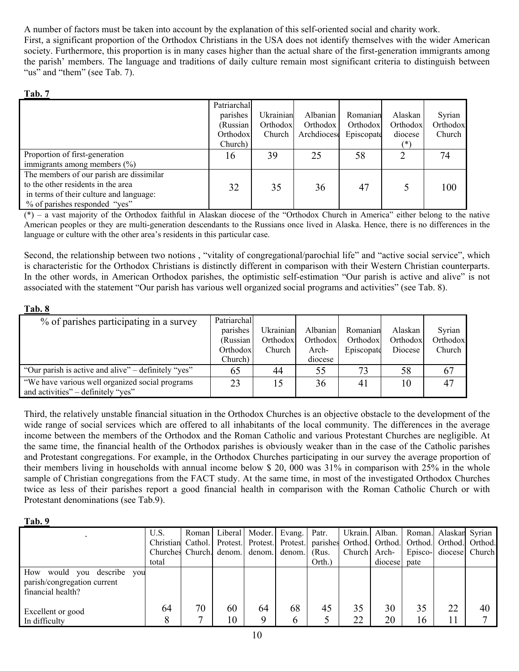A number of factors must be taken into account by the explanation of this self-oriented social and charity work.

First, a significant proportion of the Orthodox Christians in the USA does not identify themselves with the wider American society. Furthermore, this proportion is in many cases higher than the actual share of the first-generation immigrants among the parish' members. The language and traditions of daily culture remain most significant criteria to distinguish between "us" and "them" (see Tab. 7).

### **Tab. 7**

|                                          | Patriarchal |           |             |            |          |          |
|------------------------------------------|-------------|-----------|-------------|------------|----------|----------|
|                                          | parishes    | Ukrainian | Albanian    | Romanian   | Alaskan  | Syrian   |
|                                          | (Russian    | Orthodox  | Orthodox    | Orthodox   | Orthodox | Orthodox |
|                                          | Orthodox    | Church    | Archdiocese | Episcopate | diocese  | Church   |
|                                          | Church)     |           |             |            | $(*)$    |          |
| Proportion of first-generation           | 16          | 39        | 25          | 58         |          | 74       |
| immigrants among members $(\% )$         |             |           |             |            |          |          |
| The members of our parish are dissimilar |             |           |             |            |          |          |
| to the other residents in the area       | 32          | 35        | 36          | 47         |          | 100      |
| in terms of their culture and language:  |             |           |             |            |          |          |
| % of parishes responded "yes"            |             |           |             |            |          |          |

(\*) – a vast majority of the Orthodox faithful in Alaskan diocese of the "Orthodox Church in America" either belong to the native American peoples or they are multi-generation descendants to the Russians once lived in Alaska. Hence, there is no differences in the language or culture with the other area's residents in this particular case.

Second, the relationship between two notions , "vitality of congregational/parochial life" and "active social service", which is characteristic for the Orthodox Christians is distinctly different in comparison with their Western Christian counterparts. In the other words, in American Orthodox parishes, the optimistic self-estimation "Our parish is active and alive" is not associated with the statement "Our parish has various well organized social programs and activities" (see Tab. 8).

## **Tab. 8**

| % of parishes participating in a survey             | Patriarchal |                  |          |            |          |          |
|-----------------------------------------------------|-------------|------------------|----------|------------|----------|----------|
|                                                     | parishes    | <b>Ukrainian</b> | Albanian | Romanian   | Alaskan  | Syrian   |
|                                                     | (Russian    | Orthodox         | Orthodox | Orthodox   | Orthodox | Orthodox |
|                                                     | Orthodox    | Church           | Arch-    | Episcopate | Diocese  | Church   |
|                                                     | Church)     |                  | diocese  |            |          |          |
| "Our parish is active and alive" – definitely "yes" | 65          | 44               | 55       | 73         | 58       | 67       |
| "We have various well organized social programs     | 23          |                  | 36       | 41         | 10       | 47       |
| and activities" – definitely "yes"                  |             |                  |          |            |          |          |

Third, the relatively unstable financial situation in the Orthodox Churches is an objective obstacle to the development of the wide range of social services which are offered to all inhabitants of the local community. The differences in the average income between the members of the Orthodox and the Roman Catholic and various Protestant Churches are negligible. At the same time, the financial health of the Orthodox parishes is obviously weaker than in the case of the Catholic parishes and Protestant congregations. For example, in the Orthodox Churches participating in our survey the average proportion of their members living in households with annual income below \$ 20, 000 was 31% in comparison with 25% in the whole sample of Christian congregations from the FACT study. At the same time, in most of the investigated Orthodox Churches twice as less of their parishes report a good financial health in comparison with the Roman Catholic Church or with Protestant denominations (see Tab.9).

### **Tab. 9**

|                                                                                      | U.S.              | Roman I            |          |         | Liberal Moder. Evang. Patr.                                                 |        |              | Ukrain. Alban. |          | Roman. Alaskan Syrian |                |
|--------------------------------------------------------------------------------------|-------------------|--------------------|----------|---------|-----------------------------------------------------------------------------|--------|--------------|----------------|----------|-----------------------|----------------|
|                                                                                      | Christian Cathol. |                    |          |         | Protest. Protest. Protest. parished Orthod. Orthod. Orthod. Orthod. Orthod. |        |              |                |          |                       |                |
|                                                                                      | Churches Church.  |                    | denom.   | denom.  | denom.                                                                      | (Rus.  | Church Arch- |                | Episco-  |                       | diocese Church |
|                                                                                      | total             |                    |          |         |                                                                             | Orth.) |              | diocese        | pate     |                       |                |
| How<br>would you describe<br>you<br>parish/congregation current<br>financial health? |                   |                    |          |         |                                                                             |        |              |                |          |                       |                |
| Excellent or good<br>In difficulty                                                   | 64                | 70<br>$\mathbf{r}$ | 60<br>10 | 64<br>Q | 68<br>h                                                                     | 45     | 35<br>22     | 30<br>20       | 35<br>16 | 22                    | 40             |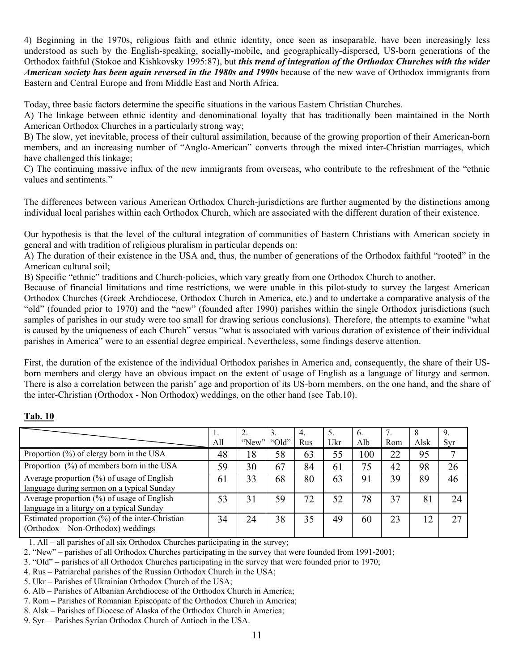4) Beginning in the 1970s, religious faith and ethnic identity, once seen as inseparable, have been increasingly less understood as such by the English-speaking, socially-mobile, and geographically-dispersed, US-born generations of the Orthodox faithful (Stokoe and Kishkovsky 1995:87), but *this trend of integration of the Orthodox Churches with the wider American society has been again reversed in the 1980s and 1990s* because of the new wave of Orthodox immigrants from Eastern and Central Europe and from Middle East and North Africa.

Today, three basic factors determine the specific situations in the various Eastern Christian Churches.

A) The linkage between ethnic identity and denominational loyalty that has traditionally been maintained in the North American Orthodox Churches in a particularly strong way;

B) The slow, yet inevitable, process of their cultural assimilation, because of the growing proportion of their American-born members, and an increasing number of "Anglo-American" converts through the mixed inter-Christian marriages, which have challenged this linkage;

C) The continuing massive influx of the new immigrants from overseas, who contribute to the refreshment of the "ethnic values and sentiments."

The differences between various American Orthodox Church-jurisdictions are further augmented by the distinctions among individual local parishes within each Orthodox Church, which are associated with the different duration of their existence.

Our hypothesis is that the level of the cultural integration of communities of Eastern Christians with American society in general and with tradition of religious pluralism in particular depends on:

A) The duration of their existence in the USA and, thus, the number of generations of the Orthodox faithful "rooted" in the American cultural soil;

B) Specific "ethnic" traditions and Church-policies, which vary greatly from one Orthodox Church to another.

Because of financial limitations and time restrictions, we were unable in this pilot-study to survey the largest American Orthodox Churches (Greek Archdiocese, Orthodox Church in America, etc.) and to undertake a comparative analysis of the "old" (founded prior to 1970) and the "new" (founded after 1990) parishes within the single Orthodox jurisdictions (such samples of parishes in our study were too small for drawing serious conclusions). Therefore, the attempts to examine "what is caused by the uniqueness of each Church" versus "what is associated with various duration of existence of their individual parishes in America" were to an essential degree empirical. Nevertheless, some findings deserve attention.

First, the duration of the existence of the individual Orthodox parishes in America and, consequently, the share of their USborn members and clergy have an obvious impact on the extent of usage of English as a language of liturgy and sermon. There is also a correlation between the parish' age and proportion of its US-born members, on the one hand, and the share of the inter-Christian (Orthodox - Non Orthodox) weddings, on the other hand (see Tab.10).

## **Tab. 10**

|                                                 | 1.  |       |       | 4.  | 5.  | 6.  |     | 8              | 9.  |
|-------------------------------------------------|-----|-------|-------|-----|-----|-----|-----|----------------|-----|
|                                                 | All | "New" | "Old" | Rus | Ukr | Alb | Rom | Alsk           | Syr |
| Proportion $(\%)$ of clergy born in the USA     | 48  | 18    | 58    | 63  | 55  | 100 | 22  | 95             |     |
| Proportion (%) of members born in the USA       | 59  | 30    | 67    | 84  | 61  | 75  | 42  | 98             | 26  |
| Average proportion (%) of usage of English      | 61  | 33    | 68    | 80  | 63  | 91  | 39  | 89             | 46  |
| language during sermon on a typical Sunday      |     |       |       |     |     |     |     |                |     |
| Average proportion $(\%)$ of usage of English   | 53  | 31    | 59    | 72  | 52  | 78  | 37  | 81             | 24  |
| language in a liturgy on a typical Sunday       |     |       |       |     |     |     |     |                |     |
| Estimated proportion (%) of the inter-Christian | 34  | 24    | 38    | 35  | 49  | 60  | 23  | $\overline{2}$ | 27  |
| $(Orthodox - Non-Orthodox)$ weddings            |     |       |       |     |     |     |     |                |     |

1. All – all parishes of all six Orthodox Churches participating in the survey;

2. "New" – parishes of all Orthodox Churches participating in the survey that were founded from 1991-2001;

3. "Old" – parishes of all Orthodox Churches participating in the survey that were founded prior to 1970;

4. Rus – Patriarchal parishes of the Russian Orthodox Church in the USA;

5. Ukr – Parishes of Ukrainian Orthodox Church of the USA;

6. Alb – Parishes of Albanian Archdiocese of the Orthodox Church in America;

7. Rom – Parishes of Romanian Episcopate of the Orthodox Church in America;

8. Alsk – Parishes of Diocese of Alaska of the Orthodox Church in America;

9. Syr – Parishes Syrian Orthodox Church of Antioch in the USA.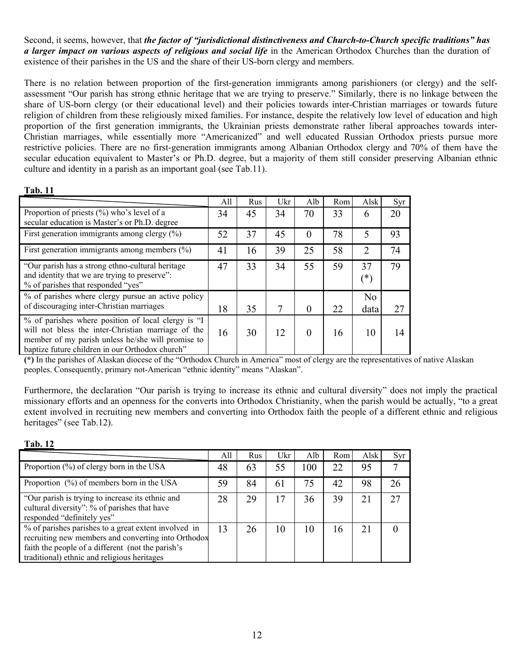Second, it seems, however, that *the factor of "jurisdictional distinctiveness and Church-to-Church specific traditions" has a larger impact on various aspects of religious and social life* in the American Orthodox Churches than the duration of existence of their parishes in the US and the share of their US-born clergy and members.

There is no relation between proportion of the first-generation immigrants among parishioners (or clergy) and the selfassessment "Our parish has strong ethnic heritage that we are trying to preserve." Similarly, there is no linkage between the share of US-born clergy (or their educational level) and their policies towards inter-Christian marriages or towards future religion of children from these religiously mixed families. For instance, despite the relatively low level of education and high proportion of the first generation immigrants, the Ukrainian priests demonstrate rather liberal approaches towards inter-Christian marriages, while essentially more "Americanized" and well educated Russian Orthodox priests pursue more restrictive policies. There are no first-generation immigrants among Albanian Orthodox clergy and 70% of them have the secular education equivalent to Master's or Ph.D. degree, but a majority of them still consider preserving Albanian ethnic culture and identity in a parish as an important goal (see Tab.11).

### **Tab. 11**

|                                                                                                                                                                                                                  | All | Rus | Ukr | Alb      | Rom | Alsk                   | Syr |
|------------------------------------------------------------------------------------------------------------------------------------------------------------------------------------------------------------------|-----|-----|-----|----------|-----|------------------------|-----|
| Proportion of priests $(\% )$ who's level of a<br>secular education is Master's or Ph.D. degree                                                                                                                  | 34  | 45  | 34  | 70       | 33  | 6                      | 20  |
| First generation immigrants among clergy $(\%)$                                                                                                                                                                  | 52  | 37  | 45  | 0        | 78  | 5                      | 93  |
| First generation immigrants among members $(\% )$                                                                                                                                                                | 41  | 16  | 39  | 25       | 58  | $\overline{2}$         | 74  |
| "Our parish has a strong ethno-cultural heritage"<br>and identity that we are trying to preserve":<br>% of parishes that responded "yes"                                                                         | 47  | 33  | 34  | 55       | 59  | 37<br>$(\ast)$         | 79  |
| % of parishes where clergy pursue an active policy<br>of discouraging inter-Christian marriages                                                                                                                  | 18  | 35  | 7   | $\Omega$ | 22  | N <sub>0</sub><br>data | 27  |
| % of parishes where position of local clergy is "I<br>will not bless the inter-Christian marriage of the<br>member of my parish unless he/she will promise to<br>baptize future children in our Orthodox church" | 16  | 30  | 12  | $\Omega$ | 16  | 10                     | 14  |

**(\*)** In the parishes of Alaskan diocese of the "Orthodox Church in America" most of clergy are the representatives of native Alaskan peoples. Consequently, primary not-American "ethnic identity" means "Alaskan".

Furthermore, the declaration "Our parish is trying to increase its ethnic and cultural diversity" does not imply the practical missionary efforts and an openness for the converts into Orthodox Christianity, when the parish would be actually, "to a great extent involved in recruiting new members and converting into Orthodox faith the people of a different ethnic and religious heritages" (see Tab.12).

### **Tab. 12**

|                                                                                                                                                                                                                 | All | Rus | Ukr | Alb | Rom | Alsk | Syr |
|-----------------------------------------------------------------------------------------------------------------------------------------------------------------------------------------------------------------|-----|-----|-----|-----|-----|------|-----|
| Proportion $(\%)$ of clergy born in the USA                                                                                                                                                                     | 48  | 63  | 55  | 100 | 22  | 95   |     |
| Proportion $(\% )$ of members born in the USA                                                                                                                                                                   | 59  | 84  | 61  | 75  | 42  | 98   | 26  |
| "Our parish is trying to increase its ethnic and<br>cultural diversity": % of parishes that have<br>responded "definitely yes"                                                                                  | 28  | 29  | 17  | 36  | 39  | 21   | 27  |
| % of parishes parishes to a great extent involved in<br>recruiting new members and converting into Orthodox<br>faith the people of a different (not the parish's<br>traditional) ethnic and religious heritages | 13  | 26  | 10  | 10  | 16  | 21   |     |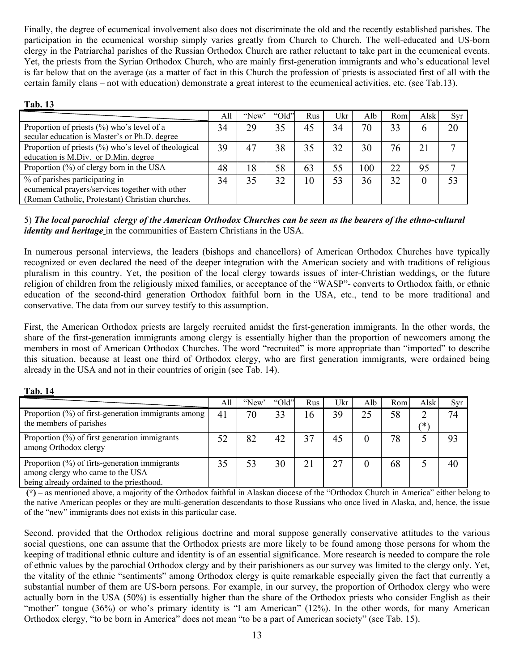Finally, the degree of ecumenical involvement also does not discriminate the old and the recently established parishes. The participation in the ecumenical worship simply varies greatly from Church to Church. The well-educated and US-born clergy in the Patriarchal parishes of the Russian Orthodox Church are rather reluctant to take part in the ecumenical events. Yet, the priests from the Syrian Orthodox Church, who are mainly first-generation immigrants and who's educational level is far below that on the average (as a matter of fact in this Church the profession of priests is associated first of all with the certain family clans – not with education) demonstrate a great interest to the ecumenical activities, etc. (see Tab.13).

#### **Tab. 13**

|                                                      | All | "New" | "Old" | Rus | Ukr | Alb | Rom | Alsk | <b>Syr</b> |
|------------------------------------------------------|-----|-------|-------|-----|-----|-----|-----|------|------------|
| Proportion of priests $(\% )$ who's level of a       | 34  | 29    | 35    | 45  | 34  | 70  | 33  | 6    | 20         |
| secular education is Master's or Ph.D. degree        |     |       |       |     |     |     |     |      |            |
| Proportion of priests (%) who's level of theological | 39  | 47    | 38    | 35  | 32  | 30  | 76  | 21   |            |
| education is M.Div. or D.Min. degree                 |     |       |       |     |     |     |     |      |            |
| Proportion $(\%)$ of clergy born in the USA          | 48  | 18    | 58    | 63  | 55  | 100 | 22  | 95   |            |
| % of parishes participating in                       | 34  | 35    | 32    | 10  | 53  | 36  | 32  | 0    | 53         |
| ecumenical prayers/services together with other      |     |       |       |     |     |     |     |      |            |
| (Roman Catholic, Protestant) Christian churches.     |     |       |       |     |     |     |     |      |            |

## 5) *The local parochial clergy of the American Orthodox Churches can be seen as the bearers of the ethno-cultural identity and heritage* in the communities of Eastern Christians in the USA.

In numerous personal interviews, the leaders (bishops and chancellors) of American Orthodox Churches have typically recognized or even declared the need of the deeper integration with the American society and with traditions of religious pluralism in this country. Yet, the position of the local clergy towards issues of inter-Christian weddings, or the future religion of children from the religiously mixed families, or acceptance of the "WASP"- converts to Orthodox faith, or ethnic education of the second-third generation Orthodox faithful born in the USA, etc., tend to be more traditional and conservative. The data from our survey testify to this assumption.

First, the American Orthodox priests are largely recruited amidst the first-generation immigrants. In the other words, the share of the first-generation immigrants among clergy is essentially higher than the proportion of newcomers among the members in most of American Orthodox Churches. The word "recruited" is more appropriate than "imported" to describe this situation, because at least one third of Orthodox clergy, who are first generation immigrants, were ordained being already in the USA and not in their countries of origin (see Tab. 14).

| Tab. 14                                                                                                                           |     |       |       |     |     |          |     |      |     |
|-----------------------------------------------------------------------------------------------------------------------------------|-----|-------|-------|-----|-----|----------|-----|------|-----|
|                                                                                                                                   | All | "New" | "Old" | Rus | Ukr | Alb      | Rom | Alsk | Syr |
| Proportion (%) of first-generation immigrants among<br>the members of parishes                                                    | 41  | 70    | 33    | 16  | 39  | 25       | 58  | ′*`  | 74  |
| Proportion $(\%)$ of first generation immigrants<br>among Orthodox clergy                                                         | 52  | 82    | 42    | 37  | 45  | $\theta$ | 78  |      | 93  |
| Proportion $(\%)$ of firts-generation immigrants<br>among clergy who came to the USA<br>being already ordained to the priesthood. | 35  | 53    | 30    | 21  | 27  | $\Omega$ | 68  |      | 40  |

#### **(\*) –** as mentioned above, a majority of the Orthodox faithful in Alaskan diocese of the "Orthodox Church in America" either belong to the native American peoples or they are multi-generation descendants to those Russians who once lived in Alaska, and, hence, the issue of the "new" immigrants does not exists in this particular case.

Second, provided that the Orthodox religious doctrine and moral suppose generally conservative attitudes to the various social questions, one can assume that the Orthodox priests are more likely to be found among those persons for whom the keeping of traditional ethnic culture and identity is of an essential significance. More research is needed to compare the role of ethnic values by the parochial Orthodox clergy and by their parishioners as our survey was limited to the clergy only. Yet, the vitality of the ethnic "sentiments" among Orthodox clergy is quite remarkable especially given the fact that currently a substantial number of them are US-born persons. For example, in our survey, the proportion of Orthodox clergy who were actually born in the USA (50%) is essentially higher than the share of the Orthodox priests who consider English as their "mother" tongue (36%) or who's primary identity is "I am American" (12%). In the other words, for many American Orthodox clergy, "to be born in America" does not mean "to be a part of American society" (see Tab. 15).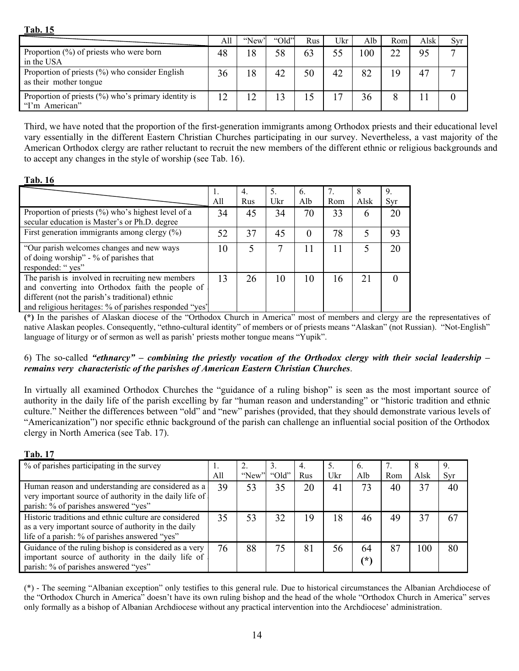| и<br>ш<br>Ш |  |
|-------------|--|
|-------------|--|

|                                                                           | All | "New" | "Old" | Rus | Ukr | Alb     | Rom | Alsk | Svr |
|---------------------------------------------------------------------------|-----|-------|-------|-----|-----|---------|-----|------|-----|
| Proportion $(\%)$ of priests who were born<br>in the USA                  | 48  | 18    | 58    | 63  |     | $_{00}$ | 22  | 95   |     |
| Proportion of priests (%) who consider English<br>as their mother tongue  | 36  | 18    | 42    | 50  | 42  | 82      | 19  | 47   |     |
| Proportion of priests $(\% )$ who's primary identity is<br>"I'm American" | 12  |       | 13    | 15  |     | 36      |     |      |     |

Third, we have noted that the proportion of the first-generation immigrants among Orthodox priests and their educational level vary essentially in the different Eastern Christian Churches participating in our survey. Nevertheless, a vast majority of the American Orthodox clergy are rather reluctant to recruit the new members of the different ethnic or religious backgrounds and to accept any changes in the style of worship (see Tab. 16).

## **Tab. 16**

|                                                        | 1.  | 4.  | 5.  | 6.  |     | 8    | 9.  |
|--------------------------------------------------------|-----|-----|-----|-----|-----|------|-----|
|                                                        | All | Rus | Ukr | Alb | Rom | Alsk | Syr |
| Proportion of priests (%) who's highest level of a     | 34  | 45  | 34  | 70  | 33  | 6    | 20  |
| secular education is Master's or Ph.D. degree          |     |     |     |     |     |      |     |
| First generation immigrants among clergy $(\%)$        | 52  | 37  | 45  |     | 78  |      | 93  |
|                                                        |     |     |     |     |     |      |     |
| "Our parish welcomes changes and new ways              | 10  |     |     |     |     |      | 20  |
| of doing worship" - % of parishes that                 |     |     |     |     |     |      |     |
| responded: "yes"                                       |     |     |     |     |     |      |     |
| The parish is involved in recruiting new members       | 13  | 26  | 10  | 10  | 16  | 21   |     |
| and converting into Orthodox faith the people of       |     |     |     |     |     |      |     |
| different (not the parish's traditional) ethnic        |     |     |     |     |     |      |     |
| and religious heritages: % of parishes responded "yes' |     |     |     |     |     |      |     |

**(\*)** In the parishes of Alaskan diocese of the "Orthodox Church in America" most of members and clergy are the representatives of native Alaskan peoples. Consequently, "ethno-cultural identity" of members or of priests means "Alaskan" (not Russian). "Not-English" language of liturgy or of sermon as well as parish' priests mother tongue means "Yupik".

## 6) The so-called *"ethnarcy" – combining the priestly vocation of the Orthodox clergy with their social leadership – remains very characteristic of the parishes of American Eastern Christian Churches*.

In virtually all examined Orthodox Churches the "guidance of a ruling bishop" is seen as the most important source of authority in the daily life of the parish excelling by far "human reason and understanding" or "historic tradition and ethnic culture." Neither the differences between "old" and "new" parishes (provided, that they should demonstrate various levels of "Americanization") nor specific ethnic background of the parish can challenge an influential social position of the Orthodox clergy in North America (see Tab. 17).

**Tab. 17**

| % of parishes participating in the survey                                                                                                                       |     |       |       | 4.  |     | $\mathfrak{b}$ . |     | ð    |     |
|-----------------------------------------------------------------------------------------------------------------------------------------------------------------|-----|-------|-------|-----|-----|------------------|-----|------|-----|
|                                                                                                                                                                 | All | "New" | "Old" | Rus | Ukr | Alb              | Rom | Alsk | Syr |
| Human reason and understanding are considered as a<br>very important source of authority in the daily life of<br>parish: % of parishes answered "yes"           | 39  | 53    | 35    | 20  | 41  | 73               | 40  | 37   | 40  |
| Historic traditions and ethnic culture are considered<br>as a very important source of authority in the daily<br>life of a parish: % of parishes answered "yes" | 35  | 53    | 32    | 19  | 18  | 46               | 49  | 37   | 67  |
| Guidance of the ruling bishop is considered as a very<br>important source of authority in the daily life of<br>parish: % of parishes answered "yes"             | 76  | 88    | 75    | 81  | 56  | 64<br>$(\ast)$   | 87  | 100  | 80  |

(\*) - The seeming "Albanian exception" only testifies to this general rule. Due to historical circumstances the Albanian Archdiocese of the "Orthodox Church in America" doesn't have its own ruling bishop and the head of the whole "Orthodox Church in America" serves only formally as a bishop of Albanian Archdiocese without any practical intervention into the Archdiocese' administration.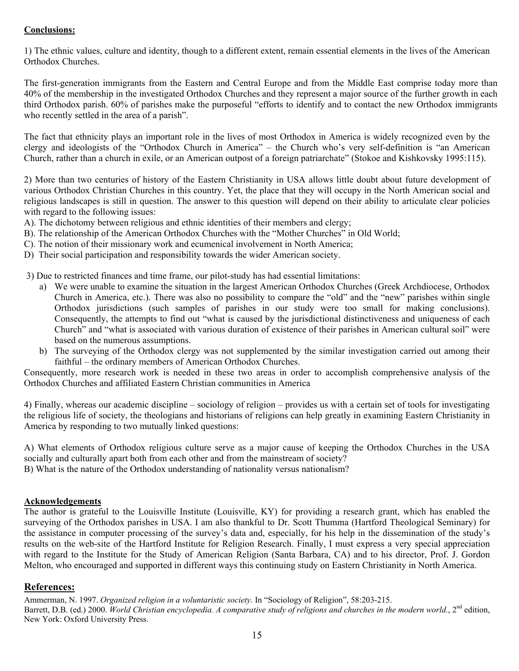## **Conclusions:**

1) The ethnic values, culture and identity, though to a different extent, remain essential elements in the lives of the American Orthodox Churches.

The first-generation immigrants from the Eastern and Central Europe and from the Middle East comprise today more than 40% of the membership in the investigated Orthodox Churches and they represent a major source of the further growth in each third Orthodox parish. 60% of parishes make the purposeful "efforts to identify and to contact the new Orthodox immigrants who recently settled in the area of a parish".

The fact that ethnicity plays an important role in the lives of most Orthodox in America is widely recognized even by the clergy and ideologists of the "Orthodox Church in America" – the Church who's very self-definition is "an American Church, rather than a church in exile, or an American outpost of a foreign patriarchate" (Stokoe and Kishkovsky 1995:115).

2) More than two centuries of history of the Eastern Christianity in USA allows little doubt about future development of various Orthodox Christian Churches in this country. Yet, the place that they will occupy in the North American social and religious landscapes is still in question. The answer to this question will depend on their ability to articulate clear policies with regard to the following issues:

- A). The dichotomy between religious and ethnic identities of their members and clergy;
- B). The relationship of the American Orthodox Churches with the "Mother Churches" in Old World;
- C). The notion of their missionary work and ecumenical involvement in North America;
- D) Their social participation and responsibility towards the wider American society.

3) Due to restricted finances and time frame, our pilot-study has had essential limitations:

- a) We were unable to examine the situation in the largest American Orthodox Churches (Greek Archdiocese, Orthodox Church in America, etc.). There was also no possibility to compare the "old" and the "new" parishes within single Orthodox jurisdictions (such samples of parishes in our study were too small for making conclusions). Consequently, the attempts to find out "what is caused by the jurisdictional distinctiveness and uniqueness of each Church" and "what is associated with various duration of existence of their parishes in American cultural soil" were based on the numerous assumptions.
- b) The surveying of the Orthodox clergy was not supplemented by the similar investigation carried out among their faithful – the ordinary members of American Orthodox Churches.

Consequently, more research work is needed in these two areas in order to accomplish comprehensive analysis of the Orthodox Churches and affiliated Eastern Christian communities in America

4) Finally, whereas our academic discipline – sociology of religion – provides us with a certain set of tools for investigating the religious life of society, the theologians and historians of religions can help greatly in examining Eastern Christianity in America by responding to two mutually linked questions:

A) What elements of Orthodox religious culture serve as a major cause of keeping the Orthodox Churches in the USA socially and culturally apart both from each other and from the mainstream of society?

B) What is the nature of the Orthodox understanding of nationality versus nationalism?

#### **Acknowledgements**

The author is grateful to the Louisville Institute (Louisville, KY) for providing a research grant, which has enabled the surveying of the Orthodox parishes in USA. I am also thankful to Dr. Scott Thumma (Hartford Theological Seminary) for the assistance in computer processing of the survey's data and, especially, for his help in the dissemination of the study's results on the web-site of the Hartford Institute for Religion Research. Finally, I must express a very special appreciation with regard to the Institute for the Study of American Religion (Santa Barbara, CA) and to his director, Prof. J. Gordon Melton, who encouraged and supported in different ways this continuing study on Eastern Christianity in North America.

### **References:**

Ammerman, N. 1997. *Organized religion in a voluntaristic society.* In "Sociology of Religion", 58:203-215. Barrett, D.B. (ed.) 2000. *World Christian encyclopedia. A comparative study of religions and churches in the modern world.*, 2<sup>nd</sup> edition, New York: Oxford University Press.